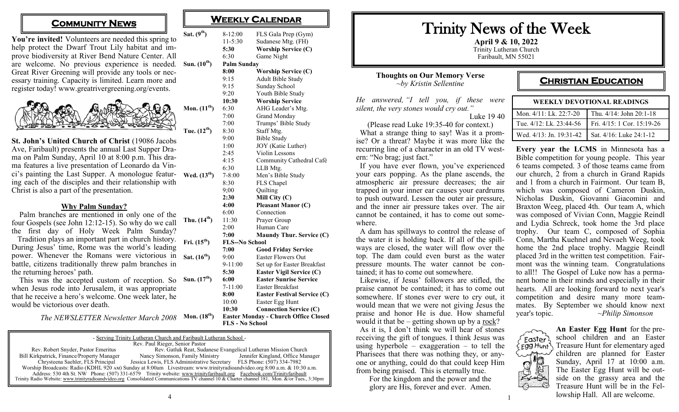## **COMMUNITY NEWS**

You're invited! Volunteers are needed this spring to help protect the Dwarf Trout Lily habitat and improve biodiversity at River Bend Nature Center. All are welcome. No previous experience is needed. **Sun. (10th) Palm Sunday** Great River Greening will provide any tools or necessary training. Capacity is limited. Learn more and register today! www.greatrivergreening.org/events.  $Sat. (9<sup>th</sup>)$ 



**St. John's United Church of Christ** (19086 Jacobs Ave, Faribault) presents the annual Last Supper Drama on Palm Sunday, April 10 at 8:00 p.m. This drama features a live presentation of Leonardo da Vinci's painting the Last Supper. A monologue featur- Wed.  $(13<sup>th</sup>)$ ing each of the disciples and their relationship with Christ is also a part of the presentation.

#### **Why Palm Sunday?**

 Palm branches are mentioned in only one of the four Gospels (see John 12:12-15). So why do we call the first day of Holy Week Palm Sunday? Tradition plays an important part in church history. During Jesus' time, Rome was the world's leading power. Whenever the Romans were victorious in Sat. (16<sup>th</sup>) battle, citizens traditionally threw palm branches in the returning heroes' path.

This was the accepted custom of reception. So Sun. (17<sup>th</sup>) when Jesus rode into Jerusalem, it was appropriate that he receive a hero's welcome. One week later, he would be victorious over death.

*The NEWSLETTER Newsletter March 2008*

| - Serving Trinity Lutheran Church and Faribault Lutheran School -                                                                            |                                                                                                                       |                                   |  |  |
|----------------------------------------------------------------------------------------------------------------------------------------------|-----------------------------------------------------------------------------------------------------------------------|-----------------------------------|--|--|
| Rev. Paul Rieger, Senior Pastor                                                                                                              |                                                                                                                       |                                   |  |  |
| Rev. Robert Snyder, Pastor Emeritus                                                                                                          | Rev. Gatluk Reat, Sudanese Evangelical Lutheran Mission Church                                                        |                                   |  |  |
| Bill Kirkpatrick, Finance/Property Manager                                                                                                   | Nancy Simonson, Family Ministry                                                                                       | Jennifer Kingland, Office Manager |  |  |
| Chrysteena Saehler, FLS Principal                                                                                                            | Jessica Lewis, FLS Administrative Secretary FLS Phone: (507) 334-7982                                                 |                                   |  |  |
| Worship Broadcasts: Radio (KDHL 920 AM) Sunday at 8:00am Livestream: www.trinityradioandvideo.org 8:00 a.m. & 10:30 a.m.                     |                                                                                                                       |                                   |  |  |
|                                                                                                                                              | Address: 530 4th St. NW Phone: (507) 331-6579 Trinity website: www.trinityfaribault.org Facebook.com/Trinityfaribault |                                   |  |  |
| Trinity Radio Website: www.trinityradioandvideo.org Consolidated Communications TV channel 10 & Charter channel 181, Mon. &/or Tues., 3:30pm |                                                                                                                       |                                   |  |  |

| WEEKLY CALENDAR |  |
|-----------------|--|
|-----------------|--|

| 8-12:00            | FLS Gala Prep (Gym)        |  |  |  |
|--------------------|----------------------------|--|--|--|
| $11 - 5:30$        | Sudanese Mtg. (FH)         |  |  |  |
| 5:30               | <b>Worship Service (C)</b> |  |  |  |
| 6:30               | Game Night                 |  |  |  |
| <b>Palm Sunday</b> |                            |  |  |  |
| 8:00               | <b>Worship Service (C)</b> |  |  |  |
| 9:15               | Adult Bible Study          |  |  |  |
| 9.15               | Sunday School              |  |  |  |

- 9:15 Sunday School 9:20 Youth Bible Study **10:30 Worship Service Mon.**  $(11^{\text{th}})$  6:30 AHG Leader's Mtg. 7:00 Grand Monday 7:00 Trumps' Bible Study **Tue. (12th)** 8:30 Staff Mtg. 9:00 Bible Study 1:00 JOY (Katie Luther) 2:45 Violin Lessons 4:15 Community Cathedral Café 6:30 LLB Mtg. **Wed. (13th)** 7-8:00 Men's Bible Study 8:30 FLS Chapel 9;00 Quilting **2:30 Mill City (C) 4:00 Pleasant Manor (C)** 6:00 Connection **Thu.**  $(14^{\text{th}})$  11:30 Prayer Group 2:00 Human Care **7:00 Maundy Thur. Service (C) Fri. (15th) FLS--No School 7:00 Good Friday Service** 9:00 Easter Flowers Out
	- 9-11:00 Set up for Easter Breakfast **5:30 Easter Vigil Service (C) Sun. (17th) 6:00 Easter Sunrise Service** 7-11:00 Easter Breakfast **8:00 Easter Festival Service (C)**

10:00 Easter Egg Hunt **10:30 Connection Service (C)**

**Mon. (18th) Easter Monday - Church Office Closed FLS - No School**

# Trinity News of the Week

**April 9 & 10, 2022** Trinity Lutheran Church Faribault, MN 55021

#### **Thoughts on Our Memory Verse** *~by Kristin Sellentine*

*He answered, "I tell you, if these were silent, the very stones would cry out."* Luke 19 40

(Please read Luke 19:35-40 for context.) What a strange thing to say! Was it a promise? Or a threat? Maybe it was more like the recurring line of a character in an old TV western: "No brag; just fact."

 If you have ever flown, you've experienced your ears popping. As the plane ascends, the atmospheric air pressure decreases; the air trapped in your inner ear causes your eardrums to push outward. Lessen the outer air pressure, and the inner air pressure takes over. The air cannot be contained, it has to come out somewhere.

 A dam has spillways to control the release of the water it is holding back. If all of the spillways are closed, the water will flow over the top. The dam could even burst as the water pressure mounts. The water cannot be contained; it has to come out somewhere.

 Likewise, if Jesus' followers are stifled, the praise cannot be contained; it has to come out somewhere. If stones ever were to cry out, it would mean that we were not giving Jesus the praise and honor He is due. How shameful would it that be  $-$  getting shown up by a rock?

 As it is, I don't think we will hear of stones receiving the gift of tongues. I think Jesus was using hyperbole – exaggeration – to tell the Pharisees that there was nothing they, or anyone or anything, could do that could keep Him from being praised. This is eternally true.

For the kingdom and the power and the glory are His, forever and ever. Amen.

## **CHRISTIAN EDUCATION**

| <b>WEEKLY DEVOTIONAL READINGS</b>                 |                            |  |
|---------------------------------------------------|----------------------------|--|
| Mon. 4/11: Lk. 22:7-20                            | Thu. 4/14: John 20:1-18    |  |
| Tue. 4/12: Lk. 23:44-56                           | Fri. 4/15: 1 Cor. 15:19-26 |  |
| Wed. 4/13: Jn. 19:31-42   Sat. 4/16: Luke 24:1-12 |                            |  |

**Every year the LCMS** in Minnesota has a Bible competition for young people. This year 6 teams competed. 3 of those teams came from our church, 2 from a church in Grand Rapids and 1 from a church in Fairmont. Our team B, which was composed of Cameron Duskin, Nicholas Duskin, Giovanni Giacomini and Braxton Weeg, placed 4th. Our team A, which was composed of Vivian Conn, Maggie Reindl and Lydia Schreck, took home the 3rd place trophy. Our team C, composed of Sophia Conn, Martha Kuehnel and Nevaeh Weeg, took home the 2nd place trophy. Maggie Reindl placed 3rd in the written test competition. Fairmont was the winning team. Congratulations to all!! The Gospel of Luke now has a permanent home in their minds and especially in their hearts. All are looking forward to next year's competition and desire many more teammates. By September we should know next year's topic. ~*Philip Simonson*



**An Easter Egg Hunt** for the preschool children and an Easter Treasure Hunt for elementary aged children are planned for Easter Sunday, April 17 at 10:00 a.m. The Easter Egg Hunt will be outside on the grassy area and the Treasure Hunt will be in the Fellowship Hall. All are welcome.